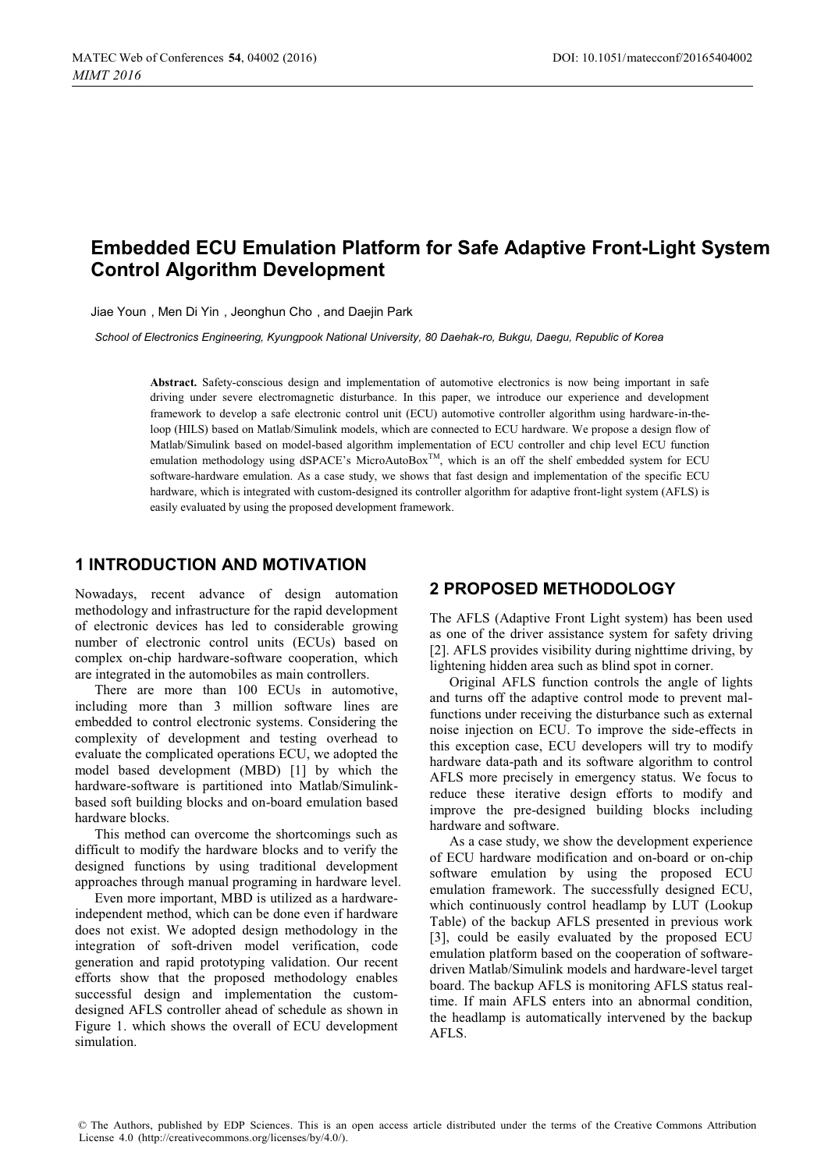# **Embedded ECU Emulation Platform for Safe Adaptive Front-Light System Control Algorithm Development**

Jiae Youn , Men Di Yin , Jeonghun Cho , and Daejin Park

*School of Electronics Engineering, Kyungpook National University, 80 Daehak-ro, Bukgu, Daegu, Republic of Korea* 

**Abstract.** Safety-conscious design and implementation of automotive electronics is now being important in safe driving under severe electromagnetic disturbance. In this paper, we introduce our experience and development framework to develop a safe electronic control unit (ECU) automotive controller algorithm using hardware-in-theloop (HILS) based on Matlab/Simulink models, which are connected to ECU hardware. We propose a design flow of Matlab/Simulink based on model-based algorithm implementation of ECU controller and chip level ECU function emulation methodology using dSPACE's MicroAutoBox<sup>TM</sup>, which is an off the shelf embedded system for ECU software-hardware emulation. As a case study, we shows that fast design and implementation of the specific ECU hardware, which is integrated with custom-designed its controller algorithm for adaptive front-light system (AFLS) is easily evaluated by using the proposed development framework.

### **1 INTRODUCTION AND MOTIVATION**

Nowadays, recent advance of design automation methodology and infrastructure for the rapid development of electronic devices has led to considerable growing number of electronic control units (ECUs) based on complex on-chip hardware-software cooperation, which are integrated in the automobiles as main controllers.

There are more than 100 ECUs in automotive, including more than 3 million software lines are embedded to control electronic systems. Considering the complexity of development and testing overhead to evaluate the complicated operations ECU, we adopted the model based development (MBD) [1] by which the hardware-software is partitioned into Matlab/Simulinkbased soft building blocks and on-board emulation based hardware blocks.

This method can overcome the shortcomings such as difficult to modify the hardware blocks and to verify the designed functions by using traditional development approaches through manual programing in hardware level.

Even more important, MBD is utilized as a hardwareindependent method, which can be done even if hardware does not exist. We adopted design methodology in the integration of soft-driven model verification, code generation and rapid prototyping validation. Our recent efforts show that the proposed methodology enables successful design and implementation the customdesigned AFLS controller ahead of schedule as shown in Figure 1. which shows the overall of ECU development simulation.

## **2 PROPOSED METHODOLOGY**

The AFLS (Adaptive Front Light system) has been used as one of the driver assistance system for safety driving [2]. AFLS provides visibility during nighttime driving, by lightening hidden area such as blind spot in corner.

Original AFLS function controls the angle of lights and turns off the adaptive control mode to prevent malfunctions under receiving the disturbance such as external noise injection on ECU. To improve the side-effects in this exception case, ECU developers will try to modify hardware data-path and its software algorithm to control AFLS more precisely in emergency status. We focus to reduce these iterative design efforts to modify and improve the pre-designed building blocks including hardware and software.

As a case study, we show the development experience of ECU hardware modification and on-board or on-chip software emulation by using the proposed ECU emulation framework. The successfully designed ECU, which continuously control headlamp by LUT (Lookup Table) of the backup AFLS presented in previous work [3], could be easily evaluated by the proposed ECU emulation platform based on the cooperation of softwaredriven Matlab/Simulink models and hardware-level target board. The backup AFLS is monitoring AFLS status realtime. If main AFLS enters into an abnormal condition, the headlamp is automatically intervened by the backup AFLS.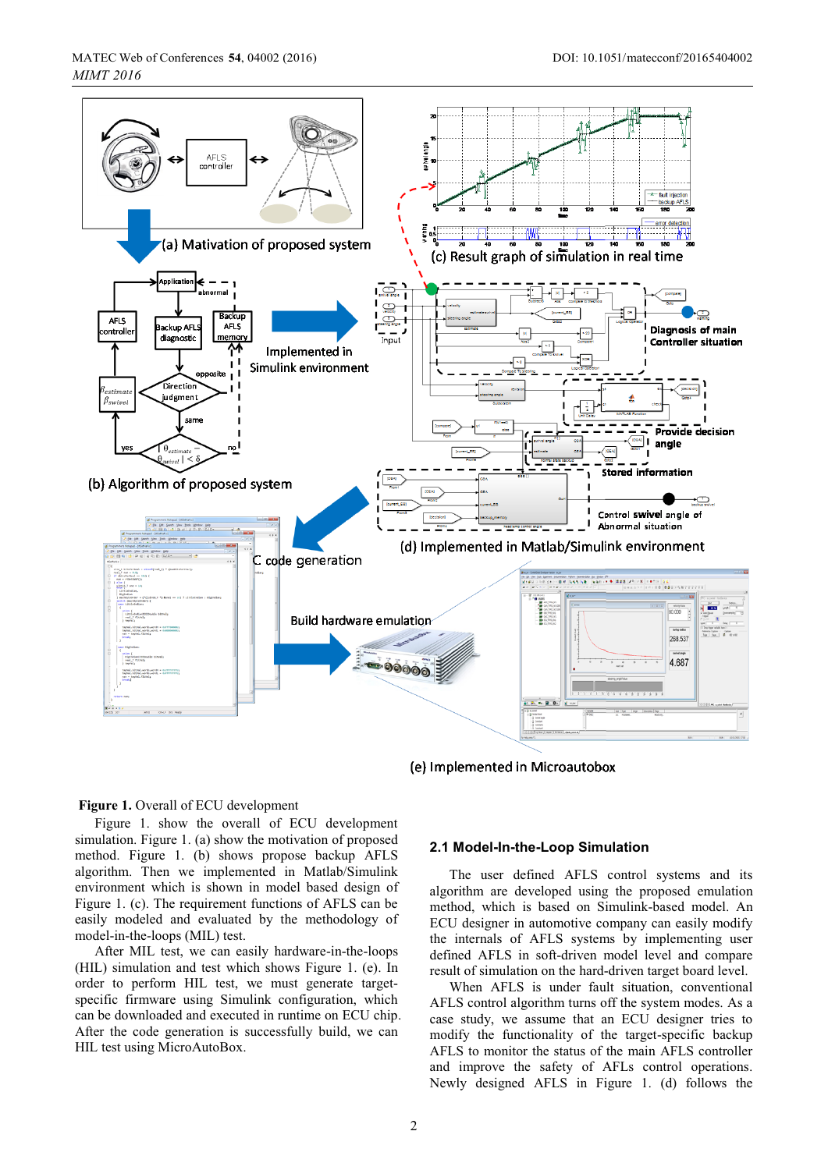

(e) Implemented in Microautobox

### **Figure 1.** Overall of ECU development

Figure 1. show the overall of ECU development simulation. Figure 1. (a) show the motivation of proposed method. Figure 1. (b) shows propose backup AFLS algorithm. Then we implemented in Matlab/Simulink environment which is shown in model based design of Figure 1. (c). The requirement functions of AFLS can be easily modeled and evaluated by the methodology of model-in-the-loops (MIL) test.

After MIL test, we can easily hardware-in-the-loops (HIL) simulation and test which shows Figure 1. (e). In order to perform HIL test, we must generate targetspecific firmware using Simulink configuration, which can be downloaded and executed in runtime on ECU chip. After the code generation is successfully build, we can HIL test using MicroAutoBox.

### **2.1 Model-In-the-Loop Simulation**

The user defined AFLS control systems and its algorithm are developed using the proposed emulation method, which is based on Simulink-based model. An ECU designer in automotive company can easily modify the internals of AFLS systems by implementing user defined AFLS in soft-driven model level and compare result of simulation on the hard-driven target board level.

When AFLS is under fault situation, conventional AFLS control algorithm turns off the system modes. As a case study, we assume that an ECU designer tries to modify the functionality of the target-specific backup AFLS to monitor the status of the main AFLS controller and improve the safety of AFLs control operations. Newly designed AFLS in Figure 1. (d) follows the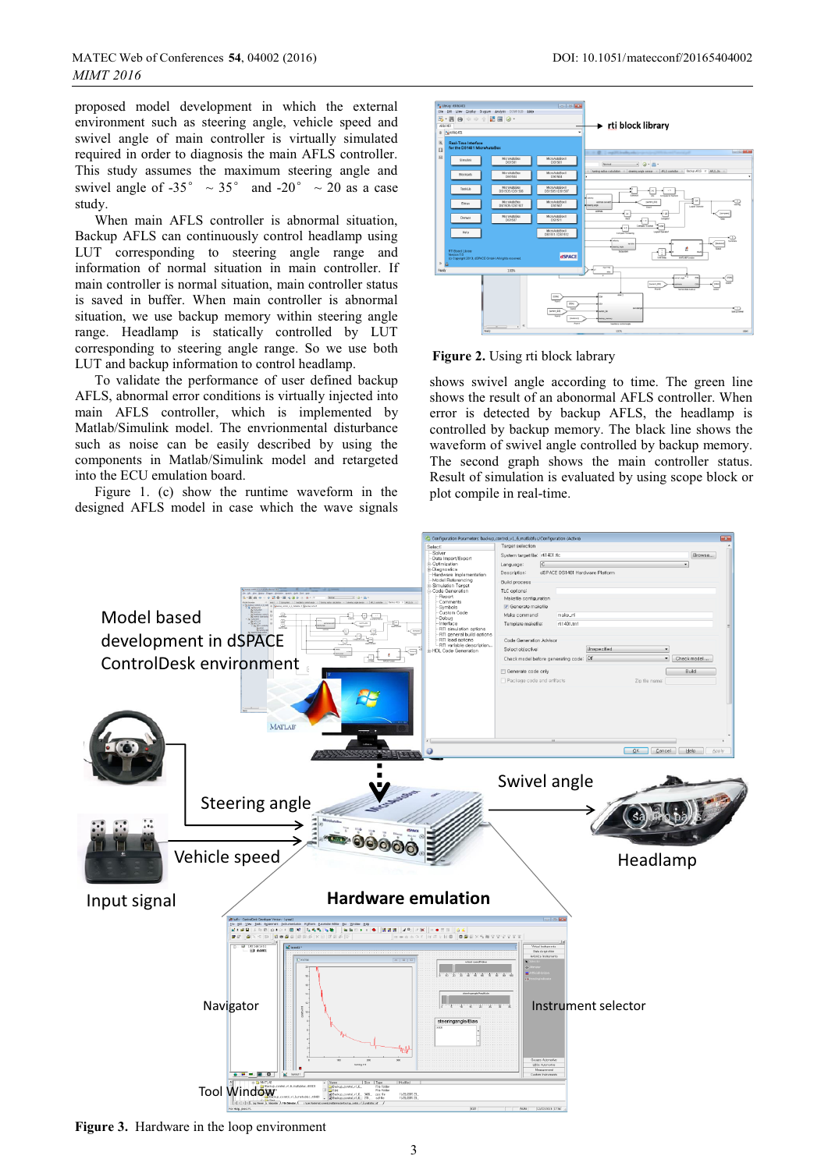proposed model development in which the external environment such as steering angle, vehicle speed and swivel angle of main controller is virtually simulated required in order to diagnosis the main AFLS controller. This study assumes the maximum steering angle and swivel angle of -35°  $\sim$  35° and -20°  $\sim$  20 as a case study.

When main AFLS controller is abnormal situation, Backup AFLS can continuously control headlamp using LUT corresponding to steering angle range and information of normal situation in main controller. If main controller is normal situation, main controller status is saved in buffer. When main controller is abnormal situation, we use backup memory within steering angle range. Headlamp is statically controlled by LUT corresponding to steering angle range. So we use both LUT and backup information to control headlamp.

To validate the performance of user defined backup AFLS, abnormal error conditions is virtually injected into main AFLS controller, which is implemented by Matlab/Simulink model. The envrionmental disturbance such as noise can be easily described by using the components in Matlab/Simulink model and retargeted into the ECU emulation board.

Figure 1. (c) show the runtime waveform in the designed AFLS model in case which the wave signals



**Figure 2.** Using rti block labrary

shows swivel angle according to time. The green line shows the result of an abonormal AFLS controller. When error is detected by backup AFLS, the headlamp is controlled by backup memory. The black line shows the waveform of swivel angle controlled by backup memory. The second graph shows the main controller status. Result of simulation is evaluated by using scope block or plot compile in real-time.



**Figure 3.** Hardware in the loop environment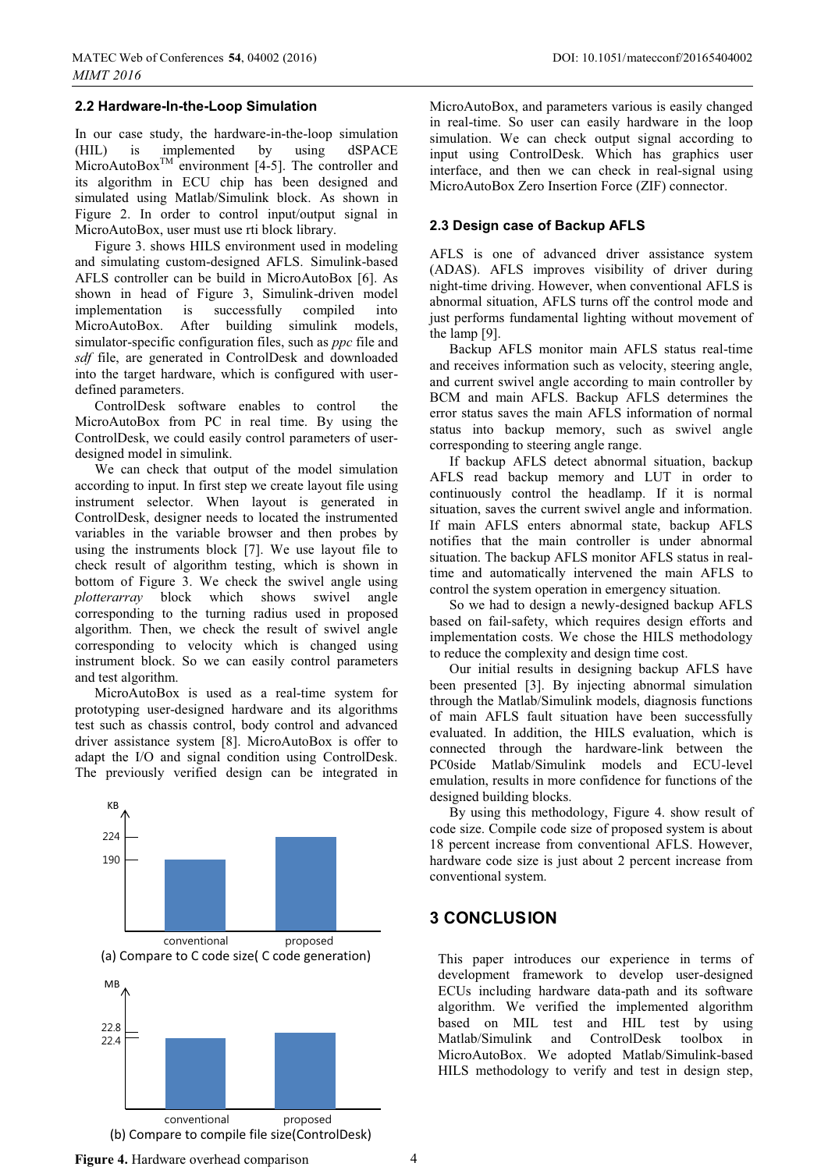#### **2.2 Hardware-In-the-Loop Simulation**

In our case study, the hardware-in-the-loop simulation (HIL) is implemented by using dSPACE MicroAutoBox<sup>TM</sup> environment [4-5]. The controller and its algorithm in ECU chip has been designed and simulated using Matlab/Simulink block. As shown in Figure 2. In order to control input/output signal in MicroAutoBox, user must use rti block library.

Figure 3. shows HILS environment used in modeling and simulating custom-designed AFLS. Simulink-based AFLS controller can be build in MicroAutoBox [6]. As shown in head of Figure 3, Simulink-driven model implementation is successfully compiled into MicroAutoBox. After building simulink models, simulator-specific configuration files, such as *ppc* file and *sdf* file, are generated in ControlDesk and downloaded into the target hardware, which is configured with userdefined parameters.

ControlDesk software enables to control the MicroAutoBox from PC in real time. By using the ControlDesk, we could easily control parameters of userdesigned model in simulink.

We can check that output of the model simulation according to input. In first step we create layout file using instrument selector. When layout is generated in ControlDesk, designer needs to located the instrumented variables in the variable browser and then probes by using the instruments block [7]. We use layout file to check result of algorithm testing, which is shown in bottom of Figure 3. We check the swivel angle using *plotterarray* block which shows swivel angle corresponding to the turning radius used in proposed algorithm. Then, we check the result of swivel angle corresponding to velocity which is changed using instrument block. So we can easily control parameters and test algorithm.

MicroAutoBox is used as a real-time system for prototyping user-designed hardware and its algorithms test such as chassis control, body control and advanced driver assistance system [8]. MicroAutoBox is offer to adapt the I/O and signal condition using ControlDesk. The previously verified design can be integrated in



MicroAutoBox, and parameters various is easily changed in real-time. So user can easily hardware in the loop simulation. We can check output signal according to input using ControlDesk. Which has graphics user interface, and then we can check in real-signal using MicroAutoBox Zero Insertion Force (ZIF) connector.

#### **2.3 Design case of Backup AFLS**

AFLS is one of advanced driver assistance system (ADAS). AFLS improves visibility of driver during night-time driving. However, when conventional AFLS is abnormal situation, AFLS turns off the control mode and just performs fundamental lighting without movement of the lamp [9].

Backup AFLS monitor main AFLS status real-time and receives information such as velocity, steering angle, and current swivel angle according to main controller by BCM and main AFLS. Backup AFLS determines the error status saves the main AFLS information of normal status into backup memory, such as swivel angle corresponding to steering angle range.

If backup AFLS detect abnormal situation, backup AFLS read backup memory and LUT in order to continuously control the headlamp. If it is normal situation, saves the current swivel angle and information. If main AFLS enters abnormal state, backup AFLS notifies that the main controller is under abnormal situation. The backup AFLS monitor AFLS status in realtime and automatically intervened the main AFLS to control the system operation in emergency situation.

So we had to design a newly-designed backup AFLS based on fail-safety, which requires design efforts and implementation costs. We chose the HILS methodology to reduce the complexity and design time cost.

Our initial results in designing backup AFLS have been presented [3]. By injecting abnormal simulation through the Matlab/Simulink models, diagnosis functions of main AFLS fault situation have been successfully evaluated. In addition, the HILS evaluation, which is connected through the hardware-link between the PC0side Matlab/Simulink models and ECU-level emulation, results in more confidence for functions of the designed building blocks.

By using this methodology, Figure 4. show result of code size. Compile code size of proposed system is about 18 percent increase from conventional AFLS. However, hardware code size is just about 2 percent increase from conventional system.

## **3 CONCLUSION**

This paper introduces our experience in terms of development framework to develop user-designed ECUs including hardware data-path and its software algorithm. We verified the implemented algorithm based on MIL test and HIL test by using Matlab/Simulink and ControlDesk toolbox in MicroAutoBox. We adopted Matlab/Simulink-based HILS methodology to verify and test in design step,